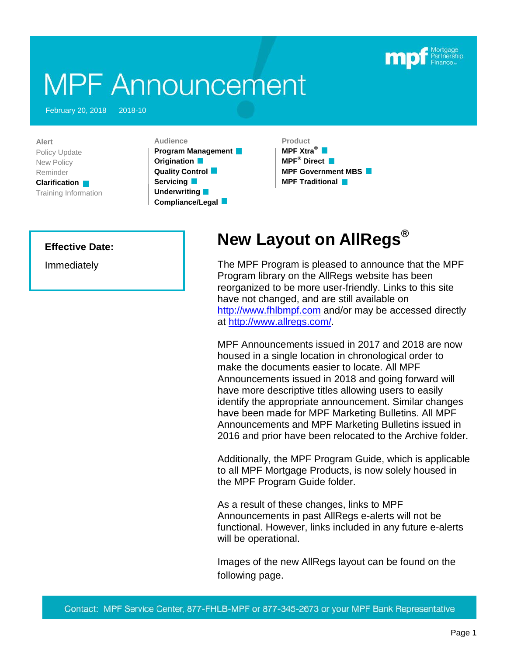# **MPF Announcement**

February 20, 2018 2018-10

**Alert** Policy Update New Policy Reminder **Clarification** Training Information

**Audience Program Management**

**Origination Quality Control Servicing Underwriting Compliance/Legal**

## **Product**

**MPF Xtra® MPF® Direct MPF Government MBS MPF Traditional**

### **Effective Date:**

Immediately

# **New Layout on AllRegs®**

The MPF Program is pleased to announce that the MPF Program library on the AllRegs website has been reorganized to be more user-friendly. Links to this site have not changed, and are still available on [http://www.fhlbmpf.com](http://www.fhlbmpf.com/) and/or may be accessed directly at [http://www.allregs.com/.](http://www.allregs.com/)

MPF Announcements issued in 2017 and 2018 are now housed in a single location in chronological order to make the documents easier to locate. All MPF Announcements issued in 2018 and going forward will have more descriptive titles allowing users to easily identify the appropriate announcement. Similar changes have been made for MPF Marketing Bulletins. All MPF Announcements and MPF Marketing Bulletins issued in 2016 and prior have been relocated to the Archive folder.

Additionally, the MPF Program Guide, which is applicable to all MPF Mortgage Products, is now solely housed in the MPF Program Guide folder.

As a result of these changes, links to MPF Announcements in past AllRegs e-alerts will not be functional. However, links included in any future e-alerts will be operational.

Images of the new AllRegs layout can be found on the following page.